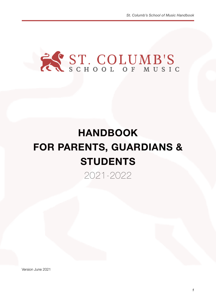

# **HANDBOOK FOR PARENTS, GUARDIANS & STUDENTS**

2021-2022

Version June 2021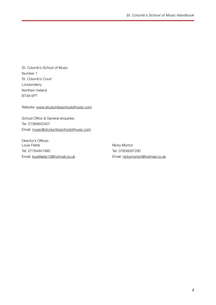St. Columb's School of Music Number 1 St. Columb's Court Londonderry Northern Ireland BT48 6PT

Website: [www.stcolumbsschoolofmusic.com](http://www.stcolumbsschoolofmusic.com)

School Office & General enquiries: Tel: 07366602407 Email: [music@stcolumbsschoolofmusic.com](mailto:music@stcolumbsschoolofmusic.com)

Director's Offices: Louis Fields Tel: 07784841990 Email: [louisfields13@hotmail.co.uk](mailto:louisfields13@hotmail.co.uk)

Nicky Morton Tel: 07858097290 Email: [nickymorton@hotmail.co.uk](mailto:nickymorton@hotmail.co.uk)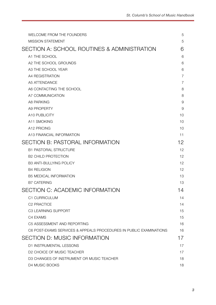| WELCOME FROM THE FOUNDERS                                          | 5              |
|--------------------------------------------------------------------|----------------|
| <b>MISSION STATEMENT</b>                                           | 5              |
| SECTION A: SCHOOL ROUTINES & ADMINISTRATION                        | 6              |
| A1 THE SCHOOL                                                      | 6              |
| A2 THE SCHOOL GROUNDS                                              | 6              |
| A3 THE SCHOOL YEAR                                                 | 6              |
| A4 REGISTRATION                                                    | $\overline{7}$ |
| A5 ATTENDANCE                                                      | $\overline{7}$ |
| A6 CONTACTING THE SCHOOL                                           | 8              |
| A7 COMMUNICATION                                                   | 8              |
| A8 PARKING                                                         | 9              |
| A9 PROPERTY                                                        | 9              |
| A10 PUBLICITY                                                      | 10             |
| A11 SMOKING                                                        | 10             |
| A12 PRICING                                                        | 10             |
| A13 FINANCIAL INFORMATION                                          | 11             |
| <b>SECTION B: PASTORAL INFORMATION</b>                             | 12             |
| <b>B1 PASTORAL STRUCTURE</b>                                       | 12             |
| <b>B2 CHILD PROTECTION</b>                                         | 12             |
| <b>B3 ANTI-BULLYING POLICY</b>                                     | 12             |
| <b>B4 RELIGION</b>                                                 | 12             |
| <b>B5 MEDICAL INFORMATION</b>                                      | 13             |
| <b>B7 CATERING</b>                                                 | 13             |
| SECTION C: ACADEMIC INFORMATION                                    | 14             |
| C1 CURRICULUM                                                      | 14             |
| C2 PRACTICE                                                        | 14             |
| C3 LEARNING SUPPORT                                                | 15             |
| C4 EXAMS                                                           | 15             |
| C5 ASSESSMENT AND REPORTING                                        | 16             |
| C6 POST-EXAMS SERVICES & APPEALS PROCEDURES IN PUBLIC EXAMINATIONS | 16             |
| SECTION D: MUSIC INFORMATION                                       | 17             |
| D1 INSTRUMENTAL LESSONS                                            | 17             |
| D2 CHOICE OF MUSIC TEACHER                                         | 17             |
| D3 CHANGES OF INSTRUMENT OR MUSIC TEACHER                          | 18             |
| D4 MUSIC BOOKS                                                     | 18             |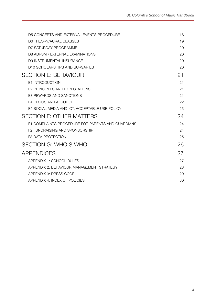| D5 CONCERTS AND EXTERNAL EVENTS PROCEDURE         | 18 |
|---------------------------------------------------|----|
| D6 THEORY/AURAL CLASSES                           | 19 |
| D7 SATURDAY PROGRAMME                             | 20 |
| D8 ABRSM / EXTERNAL EXAMINATIONS                  | 20 |
| D9 INSTRUMENTAL INSURANCE                         | 20 |
| D10 SCHOLARSHIPS AND BURSARIES                    | 20 |
| <b>SECTION E: BEHAVIOUR</b>                       | 21 |
| <b>E1 INTRODUCTION</b>                            | 21 |
| E2 PRINCIPLES AND EXPECTATIONS                    | 21 |
| E3 REWARDS AND SANCTIONS                          | 21 |
| E4 DRUGS AND ALCOHOL                              | 22 |
| E5 SOCIAL MEDIA AND ICT: ACCEPTABLE USE POLICY    | 23 |
| <b>SECTION F: OTHER MATTERS</b>                   | 24 |
| F1 COMPLAINTS PROCEDURE FOR PARENTS AND GUARDIANS | 24 |
| <b>F2 FUNDRAISING AND SPONSORSHIP</b>             | 24 |
| <b>F3 DATA PROTECTION</b>                         | 25 |
| SECTION G: WHO'S WHO                              | 26 |
| <b>APPENDICES</b>                                 | 27 |
| APPENDIX 1: SCHOOL RULES                          | 27 |
| APPENDIX 2: BEHAVIOUR MANAGEMENT STRATEGY         | 28 |
| APPENDIX 3: DRESS CODE                            | 29 |
| APPENDIX 4: INDEX OF POLICIES                     | 30 |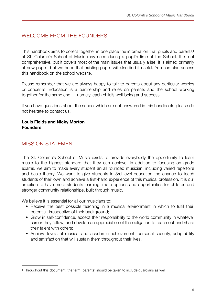### <span id="page-4-0"></span>WELCOME FROM THE FOUNDERS

<span id="page-4-3"></span>This handbook aims to collect together in one place the information that pupils and parents<sup>[1](#page-4-2)</sup> at St. Columb's School of Music may need during a pupil's time at the School. It is not comprehensive, but it covers most of the main issues that usually arise. It is aimed primarily at new pupils, but we hope that existing pupils will also find it useful. You can also access this handbook on the school website.

Please remember that we are always happy to talk to parents about any particular worries or concerns. Education is a partnership and relies on parents and the school working together for the same end — namely, each child's well-being and success.

If you have questions about the school which are not answered in this handbook, please do not hesitate to contact us.

#### **Louis Fields and Nicky Morton Founders**

### <span id="page-4-1"></span>MISSION STATEMENT

The St. Columb's School of Music exists to provide everybody the opportunity to learn music to the highest standard that they can achieve. In addition to focusing on grade exams, we aim to make every student an all rounded musician, including varied repertoire and basic theory. We want to give students in 3rd level education the chance to teach students of their own and achieve a first-hand experience of this musical profession. It is our ambition to have more students learning, more options and opportunities for children and stronger community relationships, built through music.

We believe it is essential for all our musicians to:

- Receive the best possible teaching in a musical environment in which to fulfil their potential, irrespective of their background;
- Grow in self-confidence, accept their responsibility to the world community in whatever career they follow, and develop an appreciation of the obligation to reach out and share their talent with others;
- Achieve levels of musical and academic achievement, personal security, adaptability and satisfaction that will sustain them throughout their lives.

<span id="page-4-2"></span><sup>&</sup>lt;sup>1</sup>Throughout this document, the term 'parents' should be taken to include guardians as well.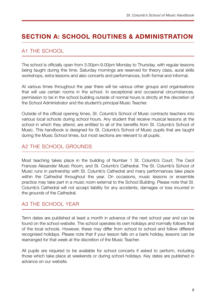## <span id="page-5-0"></span>**SECTION A: SCHOOL ROUTINES & ADMINISTRATION**

### <span id="page-5-1"></span>A1 THE SCHOOL

The school is officially open from 3.00pm-9.00pm Monday to Thursday, with regular lessons being taught during this time. Saturday mornings are reserved for theory class, aural skills workshops, extra lessons and also concerts and performances, both formal and informal.

At various times throughout the year there will be various other groups and organisations that will use certain rooms in the school. In exceptional and occasional circumstances, permission to be in the school building outside of normal hours is strictly at the discretion of the School Administrator and the student's principal Music Teacher.

Outside of the official opening times, St. Columb's School of Music contracts teachers into various local schools during school hours. Any student that receive musical lessons at the school in which they attend, are entitled to all of the benefits from St. Columb's School of Music. This handbook is designed for St. Columb's School of Music pupils that are taught during the Music School times, but most sections are relevant to all pupils.

#### <span id="page-5-2"></span>A2 THE SCHOOL GROUNDS

Most teaching takes place in the building of Number 1 St. Columb's Court, The Cecil Frances Alexander Music Room, and St. Columb's Cathedral. The St. Columb's School of Music runs in partnership with St. Columb's Cathedral and many performances take place within the Cathedral throughout the year. On occasions, music lessons or ensemble practice may take part in a music room external to the School Building. Please note that St. Columb's Cathedral will not accept liability for any accidents, damages or loss incurred in the grounds of the Cathedral.

#### <span id="page-5-3"></span>A3 THE SCHOOL YEAR

Term dates are published at least a month in advance of the next school year and can be found on the school website. The school operates its own holidays and normally follows that of the local schools. However, these may differ from school to school and follow different recognised holidays. Please note that if your lesson falls on a bank holiday, lessons can be rearranged for that week at the discretion of the Music Teacher.

All pupils are required to be available for school concerts if asked to perform, including those which take place at weekends or during school holidays. Key dates are published in advance on our website.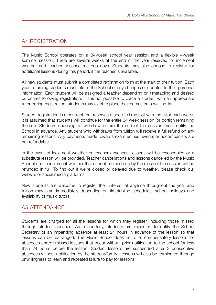### <span id="page-6-0"></span>A4 REGISTRATION

The Music School operates on a 34-week school year session and a flexible 4-week summer session. There are several weeks at the end of the year reserved for inclement weather and teacher absence makeup days. Students may also choose to register for additional lessons during this period, if the teacher is available.

All new students must submit a completed registration form at the start of their tuition. Each year, returning students must inform the School of any changes or updates to their personal information. Each student will be assigned a teacher depending on timetabling and desired outcomes following registration. If it is not possible to place a student with an appropriate tutor during registration, students may elect to place their names on a waiting list.

Student registration is a contract that reserves a specific time slot with the tutor each week. It is assumed that students will continue for the entire 34 week session (or portion remaining thereof). Students choosing to withdraw before the end of the session must notify the School in advance. Any student who withdraws from tuition will receive a full refund on any remaining lessons. Any payments made towards exam entries, events or accompanists are not refundable.

In the event of inclement weather or teacher absences, lessons will be rescheduled or a substitute lesson will be provided. Teacher cancellations and lessons cancelled by the Music School due to inclement weather that cannot be made up by the close of the session will be refunded in full. To find out if we're closed or delayed due to weather, please check our website or social media platforms.

New students are welcome to register their interest at anytime throughout the year and tuition may start immediately depending on timetabling schedules, school holidays and availability of music tutors.

### <span id="page-6-1"></span>A5 ATTENDANCE

Students are charged for all the lessons for which they register, including those missed through student absence. As a courtesy, students are expected to notify the School Secretary of an impending absence at least 24 hours in advance of the lesson so that lessons can be rearranged. The Music School does not offer compensatory lessons for absences and/or missed lessons that occur without prior notification to the school for less than 24 hours before the lesson. Student lessons are suspended after 3 consecutive absences without notification by the student/family. Lessons will also be terminated through unwillingness to learn and repeated failure to pay for lessons.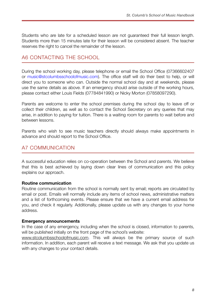Students who are late for a scheduled lesson are not guaranteed their full lesson length. Students more than 15 minutes late for their lesson will be considered absent. The teacher reserves the right to cancel the remainder of the lesson.

#### <span id="page-7-0"></span>A6 CONTACTING THE SCHOOL

During the school working day, please telephone or email the School Office (07366602407 or music@stcolumbsschoolofmusic.com). The office staff will do their best to help, or will direct you to someone who can. Outside the normal school day and at weekends, please use the same details as above. If an emergency should arise outside of the working hours, please contact either Louis Fields (07784841990) or Nicky Morton (07858097290).

Parents are welcome to enter the school premises during the school day to leave off or collect their children, as well as to contact the School Secretary on any queries that may arise, in addition to paying for tuition. There is a waiting room for parents to wait before and between lessons.

Parents who wish to see music teachers directly should always make appointments in advance and should report to the School Office.

#### <span id="page-7-1"></span>A7 COMMUNICATION

A successful education relies on co-operation between the School and parents. We believe that this is best achieved by laying down clear lines of communication and this policy explains our approach.

#### **Routine communication**

Routine communication from the school is normally sent by email; reports are circulated by email or post. Emails will normally include any items of school news, administrative matters and a list of forthcoming events. Please ensure that we have a current email address for you, and check it regularly. Additionally, please update us with any changes to your home address.

#### **Emergency announcements**

In the case of any emergency, including when the school is closed, information to parents, will be published initially on the front page of the school's website:

[www.stcolumbsschoolofmusic.com.](http://www.stcolumbsschoolofmusic.com) This will always be the primary source of such information. In addition, each parent will receive a text message. We ask that you update us with any changes to your contact details.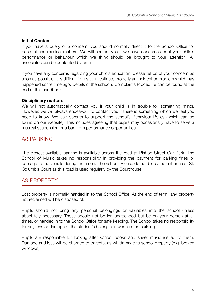#### **Initial Contact**

If you have a query or a concern, you should normally direct it to the School Office for pastoral and musical matters. We will contact you if we have concerns about your child's performance or behaviour which we think should be brought to your attention. All associates can be contacted by email.

If you have any concerns regarding your child's education, please tell us of your concern as soon as possible. It is difficult for us to investigate properly an incident or problem which has happened some time ago. Details of the school's Complaints Procedure can be found at the end of this handbook.

#### **Disciplinary matters**

We will not automatically contact you if your child is in trouble for something minor. However, we will always endeavour to contact you if there is something which we feel you need to know. We ask parents to support the school's Behaviour Policy (which can be found on our website). This includes agreeing that pupils may occasionally have to serve a musical suspension or a ban from performance opportunities.

#### <span id="page-8-0"></span>A8 PARKING

The closest available parking is available across the road at Bishop Street Car Park. The School of Music takes no responsibility in providing the payment for parking fines or damage to the vehicle during the time at the school. Please do not block the entrance at St. Columb's Court as this road is used regularly by the Courthouse.

#### <span id="page-8-1"></span>A9 PROPERTY

Lost property is normally handed in to the School Office. At the end of term, any property not reclaimed will be disposed of.

Pupils should not bring any personal belongings or valuables into the school unless absolutely necessary. These should not be left unattended but be on your person at all times, or handed in to the School Office for safe keeping. The School takes no responsibility for any loss or damage of the student's belongings when in the building.

Pupils are responsible for looking after school books and sheet music issued to them. Damage and loss will be charged to parents, as will damage to school property (e.g. broken windows).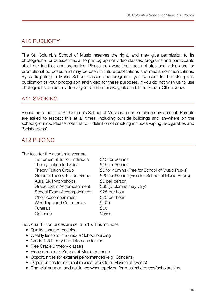### <span id="page-9-0"></span>A10 PUBLICITY

The St. Columb's School of Music reserves the right, and may give permission to its photographer or outside media, to photograph or video classes, programs and participants at all our facilities and properties. Please be aware that these photos and videos are for promotional purposes and may be used in future publications and media communications. By participating in Music School classes and programs, you consent to the taking and publication of your photograph and video for these purposes. If you do not wish us to use photographs, audio or video of your child in this way, please let the School Office know.

### <span id="page-9-1"></span>A11 SMOKING

Please note that The St. Columb's School of Music is a non-smoking environment. Parents are asked to respect this at all times, including outside buildings and anywhere on the school grounds. Please note that our definition of smoking includes vaping, e-cigarettes and 'Shisha pens'.

### <span id="page-9-2"></span>A12 PRICING

The fees for the academic year are:

Instrumental Tuition Individual £15 for 30mins Theory Tuition Individual  $\qquad 215$  for 30mins Aural Skill Workshops **E5** per person Grade Exam Accompaniment £30 (Diplomas may vary) School Exam Accompaniment £25 per hour Choir Accompaniment **E25** per hour Weddings and Ceremonies E100 Funerals **£60** Concerts **Concerts** *Varies* 

Theory Tuition Group **EXEL 10** For 45mins (Free for School of Music Pupils) Grade 5 Theory Tuition Group £20 for 60mins (Free for School of Music Pupils)

Individual Tuition prices are set at £15. This includes

- Quality assured teaching
- Weekly lessons in a unique School building
- Grade 1-5 theory built into each lesson
- Free Grade 5 theory classes
- Free entrance to School of Music concerts
- Opportunities for external performances (e.g. Concerts)
- Opportunities for external musical work (e.g. Playing at events)
- Financial support and quidance when applying for musical degrees/scholarships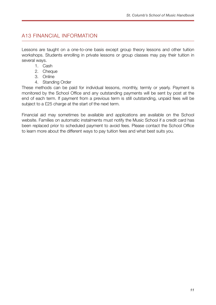### <span id="page-10-0"></span>A13 FINANCIAL INFORMATION

Lessons are taught on a one-to-one basis except group theory lessons and other tuition workshops. Students enrolling in private lessons or group classes may pay their tuition in several ways.

- 1. Cash
- 2. Cheque
- 3. Online
- 4. Standing Order

These methods can be paid for individual lessons, monthly, termly or yearly. Payment is monitored by the School Office and any outstanding payments will be sent by post at the end of each term. If payment from a previous term is still outstanding, unpaid fees will be subject to a £25 charge at the start of the next term.

Financial aid may sometimes be available and applications are available on the School website. Families on automatic instalments must notify the Music School if a credit card has been replaced prior to scheduled payment to avoid fees. Please contact the School Office to learn more about the different ways to pay tuition fees and what best suits you.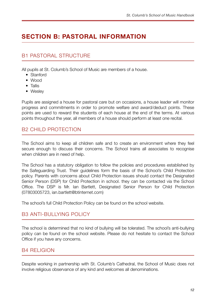# <span id="page-11-0"></span>**SECTION B: PASTORAL INFORMATION**

### <span id="page-11-1"></span>B1 PASTORAL STRUCTURE

All pupils at St. Columb's School of Music are members of a house.

- Stanford
- Wood
- Tallis
- Wesley

Pupils are assigned a house for pastoral care but on occasions, a house leader will monitor progress and commitments in order to promote welfare and award/deduct points. These points are used to reward the students of each house at the end of the terms. At various points throughout the year, all members of a house should perform at least one recital.

### <span id="page-11-2"></span>B2 CHILD PROTECTION

The School aims to keep all children safe and to create an environment where they feel secure enough to discuss their concerns. The School trains all associates to recognise when children are in need of help.

The School has a statutory obligation to follow the policies and procedures established by the Safeguarding Trust. Their guidelines form the basis of the School's Child Protection policy. Parents with concerns about Child Protection issues should contact the Designated Senior Person (DSP) for Child Protection in school. they can be contacted via the School Office. The DSP is Mr. Ian Bartlett, Designated Senior Person for Child Protection (07803005723, ian.bartlett@btinternet.com)

The school's full Child Protection Policy can be found on the school website.

### <span id="page-11-3"></span>B3 ANTI-BULLYING POLICY

The school is determined that no kind of bullying will be tolerated. The school's anti-bullying policy can be found on the school website. Please do not hesitate to contact the School Office if you have any concerns.

### <span id="page-11-4"></span>B4 RELIGION

Despite working in partnership with St. Columb's Cathedral, the School of Music does not involve religious observance of any kind and welcomes all denominations.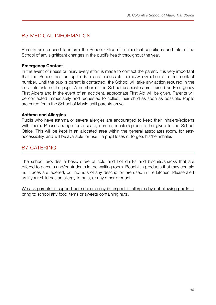### <span id="page-12-0"></span>B5 MEDICAL INFORMATION

Parents are required to inform the School Office of all medical conditions and inform the School of any significant changes in the pupil's health throughout the year.

#### **Emergency Contact**

In the event of illness or injury every effort is made to contact the parent. It is very important that the School has an up-to-date and accessible home/work/mobile or other contact number. Until the pupil's parent is contacted, the School will take any action required in the best interests of the pupil. A number of the School associates are trained as Emergency First Aiders and in the event of an accident, appropriate First Aid will be given. Parents will be contacted immediately and requested to collect their child as soon as possible. Pupils are cared for in the School of Music until parents arrive.

#### **Asthma and Allergies**

Pupils who have asthma or severe allergies are encouraged to keep their inhalers/epipens with them. Please arrange for a spare, named, inhaler/epipen to be given to the School Office. This will be kept in an allocated area within the general associates room, for easy accessibility, and will be available for use if a pupil loses or forgets his/her inhaler.

### <span id="page-12-1"></span>B7 CATERING

The school provides a basic store of cold and hot drinks and biscuits/snacks that are offered to parents and/or students in the waiting room. Bought-in products that may contain nut traces are labelled, but no nuts of any description are used in the kitchen. Please alert us if your child has an allergy to nuts, or any other product.

We ask parents to support our school policy in respect of allergies by not allowing pupils to bring to school any food items or sweets containing nuts.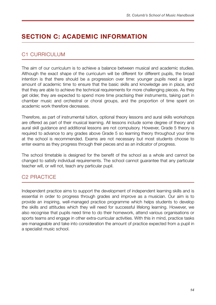# <span id="page-13-0"></span>**SECTION C: ACADEMIC INFORMATION**

### <span id="page-13-1"></span>C1 CURRICULUM

The aim of our curriculum is to achieve a balance between musical and academic studies. Although the exact shape of the curriculum will be different for different pupils, the broad intention is that there should be a progression over time: younger pupils need a larger amount of academic time to ensure that the basic skills and knowledge are in place, and that they are able to achieve the technical requirements for more challenging pieces. As they get older, they are expected to spend more time practising their instruments, taking part in chamber music and orchestral or choral groups, and the proportion of time spent on academic work therefore decreases.

Therefore, as part of instrumental tuition, optional theory lessons and aural skills workshops are offered as part of their musical learning. All lessons include some degree of theory and aural skill guidance and additional lessons are not compulsory. However, Grade 5 theory is required to advance to any grades above Grade 5 so learning theory throughout your time at the school is recommended. Exams are not necessary but most students choose to enter exams as they progress through their pieces and as an indicator of progress.

The school timetable is designed for the benefit of the school as a whole and cannot be changed to satisfy individual requirements. The school cannot guarantee that any particular teacher will, or will not, teach any particular pupil.

### <span id="page-13-2"></span>C2 PRACTICE

Independent practice aims to support the development of independent learning skills and is essential in order to progress through grades and improve as a musician. Our aim is to provide an inspiring, well-managed practice programme which helps students to develop the skills and attitudes which they will need for successful lifelong learning. However, we also recognise that pupils need time to do their homework, attend various organisations or sports teams and engage in other extra-curricular activities. With this in mind, practice tasks are manageable and take into consideration the amount of practice expected from a pupil in a specialist music school.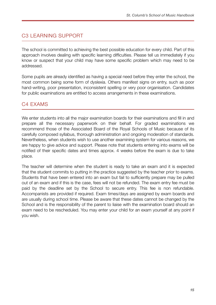### <span id="page-14-0"></span>C<sub>3</sub> LEARNING SUPPORT

The school is committed to achieving the best possible education for every child. Part of this approach involves dealing with specific learning difficulties. Please tell us immediately if you know or suspect that your child may have some specific problem which may need to be addressed.

Some pupils are already identified as having a special need before they enter the school, the most common being some form of dyslexia. Others manifest signs on entry, such as poor hand-writing, poor presentation, inconsistent spelling or very poor organisation. Candidates for public examinations are entitled to access arrangements in these examinations.

### <span id="page-14-1"></span>C4 EXAMS

We enter students into all the major examination boards for their examinations and fill in and prepare all the necessary paperwork on their behalf. For graded examinations we recommend those of the Associated Board of the Royal Schools of Music because of its carefully composed syllabus, thorough administration and ongoing moderation of standards. Nevertheless, when students wish to use another examining system for various reasons, we are happy to give advice and support. Please note that students entering into exams will be notified of their specific dates and times approx. 4 weeks before the exam is due to take place.

The teacher will determine when the student is ready to take an exam and it is expected that the student commits to putting in the practice suggested by the teacher prior to exams. Students that have been entered into an exam but fail to sufficiently prepare may be pulled out of an exam and if this is the case, fees will not be refunded. The exam entry fee must be paid by the deadline set by the School to secure entry. This fee is non refundable. Accompanists are provided if required. Exam times/days are assigned by exam boards and are usually during school time. Please be aware that these dates cannot be changed by the School and is the responsibility of the parent to liaise with the examination board should an exam need to be rescheduled. You may enter your child for an exam yourself at any point if you wish.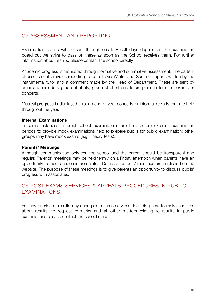### <span id="page-15-0"></span>C5 ASSESSMENT AND REPORTING

Examination results will be sent through email. Result days depend on the examination board but we strive to pass on these as soon as the School receives them. For further information about results, please contact the school directly.

Academic progress is monitored through formative and summative assessment. The pattern of assessment provides reporting to parents via Winter and Summer reports written by the instrumental tutor and a comment made by the Head of Department. These are sent by email and include a grade of ability; grade of effort and future plans in terms of exams or concerts.

Musical progress is displayed through end of year concerts or informal recitals that are held throughout the year.

#### **Internal Examinations**

In some instances, Internal school examinations are held before external examination periods to provide mock examinations held to prepare pupils for public examination; other groups may have mock exams (e.g. Theory tests).

#### **Parents' Meetings**

Although communication between the school and the parent should be transparent and regular, Parents' meetings may be held termly on a Friday afternoon when parents have an opportunity to meet academic associates. Details of parents' meetings are published on the website. The purpose of these meetings is to give parents an opportunity to discuss pupils' progress with associates.

### <span id="page-15-1"></span>C6 POST-EXAMS SERVICES & APPEALS PROCEDURES IN PUBLIC EXAMINATIONS

For any queries of results days and post-exams services, including how to make enquires about results, to request re-marks and all other matters relating to results in public examinations, please contact the school office.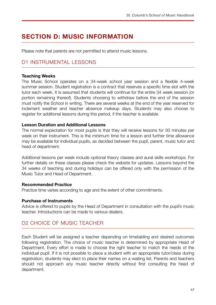# <span id="page-16-0"></span>**SECTION D: MUSIC INFORMATION**

Please note that parents are not permitted to attend music lessons.

### <span id="page-16-1"></span>D1 INSTRUMENTAL LESSONS

#### **Teaching Weeks**

The Music School operates on a 34-week school year session and a flexible 4-week summer session. Student registration is a contract that reserves a specific time slot with the tutor each week. It is assumed that students will continue for the entire 34 week session (or portion remaining thereof). Students choosing to withdraw before the end of the session must notify the School in writing. There are several weeks at the end of the year reserved for inclement weather and teacher absence makeup days. Students may also choose to register for additional lessons during this period, if the teacher is available.

#### **Lesson Duration and Additional Lessons**

The normal expectation for most pupils is that they will receive lessons for 30 minutes per week on their instrument. This is the minimum time for a lesson and further time allowance may be available for individual pupils, as decided between the pupil, parent, music tutor and head of department.

Additional lessons per week include optional theory classes and aural skills workshops. For further details on these classes please check the website for updates. Lessons beyond the 34 weeks of teaching and during holidays can be offered only with the permission of the Music Tutor and Head of Department.

#### **Recommended Practice**

Practice time varies according to age and the extent of other commitments.

#### **Purchase of Instruments**

Advice is offered to pupils by the Head of Department in consultation with the pupil's music teacher. Introductions can be made to various dealers.

#### <span id="page-16-2"></span>D2 CHOICE OF MUSIC TEACHER

Each Student will be assigned a teacher depending on timetabling and desired outcomes following registration. The choice of music teacher is determined by appropriate Head of Department. Every effort is made to choose the right teacher to match the needs of the individual pupil. If it is not possible to place a student with an appropriate tutor/class during registration, students may elect to place their names on a waiting list. Parents and teachers should not approach any music teacher directly without first consulting the head of department.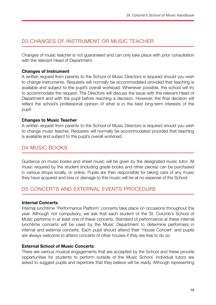### <span id="page-17-0"></span>D3 CHANGES OF INSTRUMENT OR MUSIC TEACHER

Changes of music teacher is not guaranteed and can only take place with prior consultation with the relevant Head of Department.

#### **Changes of Instrument**

A written request from parents to the School of Music Directors is required should you wish to change instruments. Requests will normally be accommodated provided that teaching is available and subject to the pupil's overall workload. Whenever possible, the school will try to accommodate the request. The Directors will discuss the issue with the relevant Head of Department and with the pupil before reaching a decision. However, the final decision will reflect the school's professional opinion of what is in the best long-term interests of the pupil.

#### **Changes to Music Teacher**

A written request from parents to the School of Music Directors is required should you wish to change music teacher. Requests will normally be accommodated provided that teaching is available and subject to the pupil's overall workload.

### <span id="page-17-1"></span>D4 MUSIC BOOKS

Guidance on music books and sheet music will be given by the designated music tutor. All music required by the student (including grade books and other pieces) can be purchased in various shops locally, or online. Pupils are then responsible for taking care of any music they have acquired and loss or damage to this music will be at no expense of the School.

### <span id="page-17-2"></span>D5 CONCERTS AND EXTERNAL EVENTS PROCEDURE

#### **Internal Concerts**

Internal lunchtime 'Performance Platform' concerts take place on occasions throughout the year. Although not compulsory, we ask that each student of the St. Columb's School of Music performs in at least one of these concerts. Standard of performance at these internal lunchtime concerts will be used by the Music Department to determine performers in internal and external concerts. Each pupil should attend their 'House Concert' and pupils are always welcome to attend concerts of other houses if they are free to do so.

#### **External School of Music Concerts**

There are various musical engagements that are accepted by the School and these provide opportunities for students to perform outside of the Music School. Individual tutors are asked to suggest pupils and repertoire that they believe will be ready. Although representing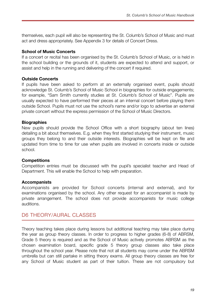themselves, each pupil will also be representing the St. Columb's School of Music and must act and dress appropriately. See Appendix 3 for details of Concert Dress.

#### **School of Music Concerts**

If a concert or recital has been organised by the St. Columb's School of Music, or is held in the school building or the grounds of it, students are expected to attend and support, or assist and help in the running and delivering of the concert if required.

#### **Outside Concerts**

If pupils have been asked to perform at an externally organised event, pupils should acknowledge St. Columb's School of Music School in biographies for outside engagements; for example, "Sam Smith currently studies at St. Columb's School of Music". Pupils are usually expected to have performed their pieces at an internal concert before playing them outside School. Pupils must not use the school's name and/or logo to advertise an external private concert without the express permission of the School of Music Directors.

#### **Biographies**

New pupils should provide the School Office with a short biography (about ten lines) detailing a bit about themselves. E.g. when they first started studying their instrument, music groups they belong to and their outside interests. Biographies will be kept on file and updated from time to time for use when pupils are involved in concerts inside or outside school.

#### **Competitions**

Competition entries must be discussed with the pupil's specialist teacher and Head of Department. This will enable the School to help with preparation.

#### **Accompanists**

Accompanists are provided for School concerts (internal and external), and for examinations organised by the school. Any other request for an accompanist is made by private arrangement. The school does not provide accompanists for music college auditions.

#### <span id="page-18-0"></span>D6 THEORY/AURAL CLASSES

Theory teaching takes place during lessons but additional teaching may take place during the year as group theory classes. In order to progress to higher grades (6-8) of ABRSM, Grade 5 theory is required and as the School of Music actively promotes ABRSM as the chosen examination board, specific grade 5 theory group classes also take place throughout the school year. Please note that not all students may come under the ABRSM umbrella but can still partake in sitting theory exams. All group theory classes are free for any School of Music student as part of their tuition. These are not compulsory but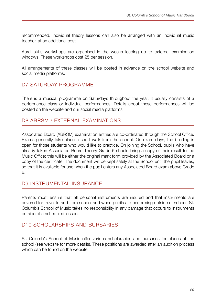recommended. Individual theory lessons can also be arranged with an individual music teacher, at an additional cost.

Aural skills workshops are organised in the weeks leading up to external examination windows. These workshops cost £5 per session.

All arrangements of these classes will be posted in advance on the school website and social media platforms.

### <span id="page-19-0"></span>D7 SATURDAY PROGRAMME

There is a musical programme on Saturdays throughout the year. It usually consists of a performance class or individual performances. Details about these performances will be posted on the website and our social media platforms.

### <span id="page-19-1"></span>D8 ABRSM / EXTERNAL EXAMINATIONS

Associated Board (ABRSM) examination entries are co-ordinated through the School Office. Exams generally take place a short walk from the school. On exam days, the building is open for those students who would like to practice. On joining the School, pupils who have already taken Associated Board Theory Grade 5 should bring a copy of their result to the Music Office; this will be either the original mark form provided by the Associated Board or a copy of the certificate. The document will be kept safely at the School until the pupil leaves, so that it is available for use when the pupil enters any Associated Board exam above Grade 6.

#### <span id="page-19-2"></span>D9 INSTRUMENTAL INSURANCE

Parents must ensure that all personal instruments are insured and that instruments are covered for travel to and from school and when pupils are performing outside of school. St. Columb's School of Music takes no responsibility in any damage that occurs to instruments outside of a scheduled lesson.

### <span id="page-19-3"></span>D10 SCHOLARSHIPS AND BURSARIES

St. Columb's School of Music offer various scholarships and bursaries for places at the school (see website for more details). These positions are awarded after an audition process which can be found on the website.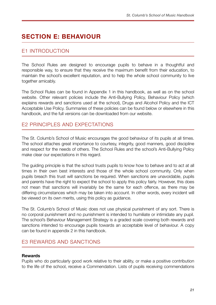# <span id="page-20-0"></span>**SECTION E: BEHAVIOUR**

### <span id="page-20-1"></span>E1 INTRODUCTION

The School Rules are designed to encourage pupils to behave in a thoughtful and responsible way, to ensure that they receive the maximum benefit from their education, to maintain the school's excellent reputation, and to help the whole school community to live together amicably.

The School Rules can be found in Appendix 1 in this handbook, as well as on the school website. Other relevant policies include the Anti-Bullying Policy, Behaviour Policy (which explains rewards and sanctions used at the school), Drugs and Alcohol Policy and the ICT Acceptable Use Policy. Summaries of these policies can be found below or elsewhere in this handbook, and the full versions can be downloaded from our website.

### <span id="page-20-2"></span>E2 PRINCIPLES AND EXPECTATIONS

The St. Columb's School of Music encourages the good behaviour of its pupils at all times. The school attaches great importance to courtesy, integrity, good manners, good discipline and respect for the needs of others. The School Rules and the school's Anti-Bullying Policy make clear our expectations in this regard.

The guiding principle is that the school trusts pupils to know how to behave and to act at all times in their own best interests and those of the whole school community. Only when pupils breach this trust will sanctions be required. When sanctions are unavoidable, pupils and parents have the right to expect the school to apply this policy fairly. However, this does not mean that sanctions will invariably be the same for each offence, as there may be differing circumstances which may be taken into account. In other words, every incident will be viewed on its own merits, using this policy as guidance.

The St. Columb's School of Music does not use physical punishment of any sort. There is no corporal punishment and no punishment is intended to humiliate or intimidate any pupil. The school's Behaviour Management Strategy is a graded scale covering both rewards and sanctions intended to encourage pupils towards an acceptable level of behaviour. A copy can be found in appendix 2 in this handbook.

### <span id="page-20-3"></span>E3 REWARDS AND SANCTIONS

#### **Rewards**

Pupils who do particularly good work relative to their ability, or make a positive contribution to the life of the school, receive a Commendation. Lists of pupils receiving commendations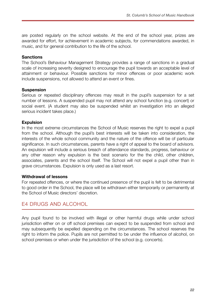are posted regularly on the school website. At the end of the school year, prizes are awarded for effort, for achievement in academic subjects, for commendations awarded, in music, and for general contribution to the life of the school.

#### **Sanctions**

The School's Behaviour Management Strategy provides a range of sanctions in a gradual scale of increasing severity designed to encourage the pupil towards an acceptable level of attainment or behaviour. Possible sanctions for minor offences or poor academic work include suspensions, not allowed to attend an event or fines.

#### **Suspension**

Serious or repeated disciplinary offences may result in the pupil's suspension for a set number of lessons. A suspended pupil may not attend any school function (e.g. concert) or social event. (A student may also be suspended whilst an investigation into an alleged serious incident takes place.)

#### **Expulsion**

In the most extreme circumstances the School of Music reserves the right to expel a pupil from the school. Although the pupil's best interests will be taken into consideration, the interests of the whole school community and the nature of the offence will be of particular significance. In such circumstances, parents have a right of appeal to the board of advisors. An expulsion will include a serious breach of attendance standards, progress, behaviour or any other reason why expulsion is the best scenario for the the child, other children, associates, parents and the school itself. The School will not expel a pupil other than in grave circumstances. Expulsion is only used as a last resort.

#### **Withdrawal of lessons**

For repeated offences, or where the continued presence of the pupil is felt to be detrimental to good order in the School, the place will be withdrawn either temporarily or permanently at the School of Music directors' discretion.

#### <span id="page-21-0"></span>E4 DRUGS AND ALCOHOL

Any pupil found to be involved with illegal or other harmful drugs while under school jurisdiction either on or off school premises can expect to be suspended from school and may subsequently be expelled depending on the circumstances. The school reserves the right to inform the police. Pupils are not permitted to be under the influence of alcohol, on school premises or when under the jurisdiction of the school (e.g. concerts).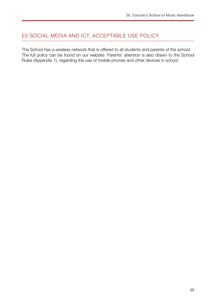### <span id="page-22-0"></span>E5 SOCIAL MEDIA AND ICT: ACCEPTABLE USE POLICY

The School has a wireless network that is offered to all students and parents of the school. The full policy can be found on our website. Parents' attention is also drawn to the School Rules (Appendix 1), regarding the use of mobile phones and other devices in school.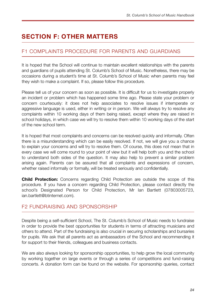# <span id="page-23-0"></span>**SECTION F: OTHER MATTERS**

### <span id="page-23-1"></span>F1 COMPLAINTS PROCEDURE FOR PARENTS AND GUARDIANS

It is hoped that the School will continue to maintain excellent relationships with the parents and guardians of pupils attending St. Columb's School of Music. Nonetheless, there may be occasions during a student's time at St. Columb's School of Music when parents may feel they wish to make a complaint. If so, please follow this procedure.

Please tell us of your concern as soon as possible. It is difficult for us to investigate properly an incident or problem which has happened some time ago. Please state your problem or concern courteously: it does not help associates to resolve issues if intemperate or aggressive language is used, either in writing or in person. We will always try to resolve any complaints within 10 working days of them being raised, except where they are raised in school holidays, in which case we will try to resolve them within 10 working days of the start of the new school term.

It is hoped that most complaints and concerns can be resolved quickly and informally. Often there is a misunderstanding which can be easily resolved. If not, we will give you a chance to explain your concerns and will try to resolve them. Of course, this does not mean that in every case we will come round to your point of view but it will help both you and the school to understand both sides of the question. It may also help to prevent a similar problem arising again. Parents can be assured that all complaints and expressions of concern, whether raised informally or formally, will be treated seriously and confidentially.

**Child Protection:** Concerns regarding Child Protection are outside the scope of this procedure. If you have a concern regarding Child Protection, please contact directly the school's Designated Person for Child Protection, Mr Ian Bartlett (07803005723, ian.bartlett@btinternet.com).

### <span id="page-23-2"></span>F2 FUNDRAISING AND SPONSORSHIP

Despite being a self-sufficient School, The St. Columb's School of Music needs to fundraise in order to provide the best opportunities for students in terms of attracting musicians and others to attend. Part of the fundraising is also crucial in securing scholarships and bursaries for pupils. We ask that all parents act as ambassadors of the School and recommending it for support to their friends, colleagues and business contacts.

We are also always looking for sponsorship opportunities, to help grow the local community by working together on large events or through a series of competitions and fund-raising concerts. A donation form can be found on the website. For sponsorship queries, contact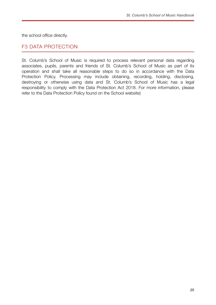the school office directly.

### <span id="page-24-0"></span>F3 DATA PROTECTION

St. Columb's School of Music is required to process relevant personal data regarding associates, pupils, parents and friends of St. Columb's School of Music as part of its operation and shall take all reasonable steps to do so in accordance with the Data Protection Policy. Processing may include obtaining, recording, holding, disclosing, destroying or otherwise using data and St. Columb's School of Music has a legal responsibility to comply with the Data Protection Act 2018. For more information, please refer to the Data Protection Policy found on the School website)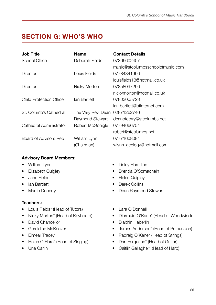# <span id="page-25-0"></span>**SECTION G: WHO'S WHO**

| <b>Job Title</b>                | <b>Name</b>        | <b>Contact Details</b>           |
|---------------------------------|--------------------|----------------------------------|
| <b>School Office</b>            | Deborah Fields     | 07366602407                      |
|                                 |                    | music@stcolumbsschoolofmusic.com |
| Director                        | Louis Fields       | 07784841990                      |
|                                 |                    | louisfields13@hotmail.co.uk      |
| Director                        | Nicky Morton       | 07858097290                      |
|                                 |                    | nickymorton@hotmail.co.uk        |
| <b>Child Protection Officer</b> | lan Bartlett       | 07803005723                      |
|                                 |                    | ian.bartlett@btinternet.com      |
| St. Columb's Cathedral          | The Very Rev. Dean | 02871262746                      |
|                                 | Raymond Stewart    | deanofderry@stcolumbs.net        |
| Cathedral Administrator         | Robert McGonigle   | 07794666754                      |
|                                 |                    | robert@stcolumbs.net             |
| Board of Advisors Rep           | William Lynn       | 07771608084                      |
|                                 | (Chairman)         | wlynn geology@hotmail.com        |

#### **Advisory Board Members:**

- William Lynn
- Elizabeth Quigley
- Jane Fields
- Ian Bartlett
- Martin Doherty

#### **Teachers:**

- Louis Fields\* (Head of Tutors)
- Nicky Morton<sup>\*</sup> (Head of Keyboard)
- David Chancellor
- Geraldine McKeever
- Eimear Tracey
- Helen O'Hare\* (Head of Singing)
- Una Carlin
- Linley Hamilton
- Brenda O'Somachain
- Helen Quigley
- Derek Collins
- Dean Raymond Stewart
- Lara O'Donnell
- Diarmuid O'Kane\* (Head of Woodwind)
- Blaithin Haberlin
- James Anderson\* (Head of Percussion)
- Padraig O'Kane\* (Head of Strings)
- Dan Ferguson<sup>\*</sup> (Head of Guitar)
- Caitlin Gallagher\* (Head of Harp)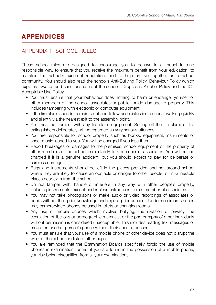# <span id="page-26-0"></span>**APPENDICES**

### <span id="page-26-1"></span>APPENDIX 1: SCHOOL RULES

These school rules are designed to encourage you to behave in a thoughtful and responsible way, to ensure that you receive the maximum benefit from your education, to maintain the school's excellent reputation, and to help us live together as a school community. You should also read the school's Anti-Bullying Policy, Behaviour Policy (which explains rewards and sanctions used at the school), Drugs and Alcohol Policy and the ICT Acceptable Use Policy.

- You must ensure that your behaviour does nothing to harm or endanger yourself or other members of the school, associates or public, or do damage to property. This includes tampering with electronic or computer equipment.
- If the fire alarm sounds, remain silent and follow associates instructions, walking quickly and silently via the nearest exit to the assembly point.
- You must not tamper with any fire alarm equipment. Setting off the fire alarm or fire extinguishers deliberately will be regarded as very serious offences.
- You are responsible for school property such as books, equipment, instruments or sheet music loaned to you. You will be charged if you lose them.
- Report breakages or damages to the premises, school equipment or the property of other members of the school immediately to a member of associates. You will not be charged if it is a genuine accident, but you should expect to pay for deliberate or careless damage.
- Bags and instruments should be left in the places provided and not around school where they are likely to cause an obstacle or danger to other people, or in vulnerable places near exits from the school.
- Do not tamper with, handle or interfere in any way with other people's property, including instruments, except under clear instructions from a member of associates.
- You may not take photographs or make audio or video recordings of associates or pupils without their prior knowledge and explicit prior consent. Under no circumstances may camera/video phones be used in toilets or changing rooms.
- Any use of mobile phones which involves bullying, the invasion of privacy, the circulation of libellous or pornographic materials, or the photography of other individuals without permission is considered unacceptable. This includes reading text messages or emails on another person's phone without their specific consent.
- You must ensure that your use of a mobile phone or other device does not disrupt the work of the school or disturb other pupils.
- You are reminded that the Examination Boards specifically forbid the use of mobile phones in examination rooms; if you are found in the possession of a mobile phone, you risk being disqualified from all your examinations.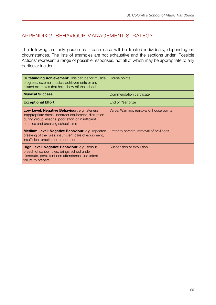### <span id="page-27-0"></span>APPENDIX 2: BEHAVIOUR MANAGEMENT STRATEGY

The following are only guidelines - each case will be treated individually, depending on circumstances. The lists of examples are not exhaustive and the sections under 'Possible Actions' represent a range of possible responses, not all of which may be appropriate to any particular incident.

| <b>Outstanding Achievement:</b> This can be for musical<br>progress, external musical achievements or any<br>related examples that help show off the school                                      | House points                             |
|--------------------------------------------------------------------------------------------------------------------------------------------------------------------------------------------------|------------------------------------------|
| <b>Musical Success:</b>                                                                                                                                                                          | Commendation certificate                 |
| <b>Exceptional Effort:</b>                                                                                                                                                                       | End of Year prize                        |
| Low Level: Negative Behaviour: e.g. lateness,<br>inappropriate dress, incorrect equipment, disruption<br>during group lessons, poor effort or insufficient<br>practice and breaking school rules | Verbal Warning, removal of house points  |
| <b>Medium Level: Negative Behaviour:</b> e.g. repeated<br>breaking of the rules, insufficient care of equipment,<br>insufficient practice or preparation                                         | Letter to parents, removal of privileges |
| High Level: Negative Behaviour: e.g. serious<br>breach of school rules, brings school under<br>disrepute, persistent non attendance, persistent<br>failure to prepare                            | Suspension or expulsion                  |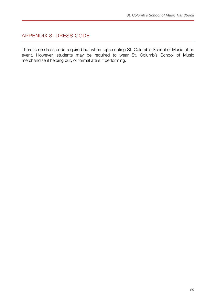### <span id="page-28-0"></span>APPENDIX 3: DRESS CODE

There is no dress code required but when representing St. Columb's School of Music at an event. However, students may be required to wear St. Columb's School of Music merchandise if helping out, or formal attire if performing.